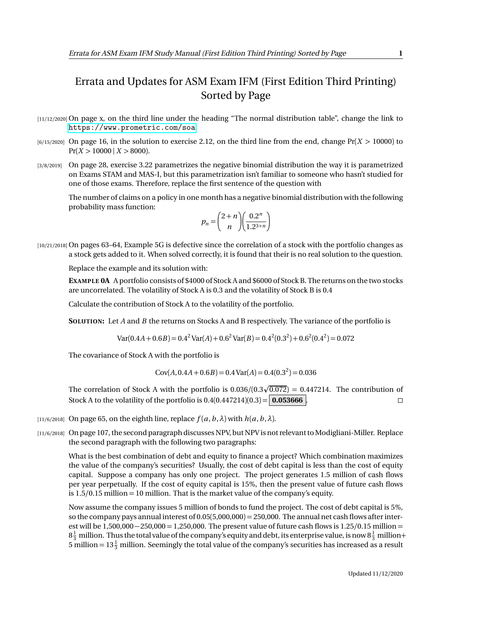## Errata and Updates for ASM Exam IFM (First Edition Third Printing) Sorted by Page

- [11/12/2020] On page x, on the third line under the heading "The normal distribution table", change the link to <https://www.prometric.com/soa>.
- $[6/15/2020]$  On page 16, in the solution to exercise 2.12, on the third line from the end, change  $Pr(X > 10000)$  to  $Pr(X > 10000 \mid X > 8000)$ .
- [3/8/2019] On page 28, exercise 3.22 parametrizes the negative binomial distribution the way it is parametrized on Exams STAM and MAS-I, but this parametrization isn't familiar to someone who hasn't studied for one of those exams. Therefore, replace the first sentence of the question with

The number of claims on a policy in one month has a negative binomial distribution with the following probability mass function:

$$
p_n = \binom{2+n}{n} \left( \frac{0.2^n}{1.2^{3+n}} \right)
$$

[10/21/2018] On pages 63–64, Example 5G is defective since the correlation of a stock with the portfolio changes as a stock gets added to it. When solved correctly, it is found that their is no real solution to the question.

Replace the example and its solution with:

**EXAMPLE 0A** A portfolio consists of \$4000 of Stock A and \$6000 of Stock B. The returns on the two stocks are uncorrelated. The volatility of Stock A is 0.3 and the volatility of Stock B is 0.4

Calculate the contribution of Stock A to the volatility of the portfolio.

**SOLUTION:** Let *A* and *B* the returns on Stocks A and B respectively. The variance of the portfolio is

 $Var(0.4A + 0.6B) = 0.4^2 Var(A) + 0.6^2 Var(B) = 0.4^2(0.3^2) + 0.6^2(0.4^2) = 0.072$ 

The covariance of Stock A with the portfolio is

 $Cov(A, 0.4A + 0.6B) = 0.4Var(A) = 0.4(0.3<sup>2</sup>) = 0.036$ 

The correlation of Stock A with the portfolio is  $0.036/(0.3\sqrt{0.072}) = 0.447214$ . The contribution of Stock A to the volatility of the portfolio is  $0.4(0.447214)(0.3) = 0.053666$ .

- [11/6/2018] On page 65, on the eighth line, replace  $f(a, b, \lambda)$  with  $h(a, b, \lambda)$ .
- [11/6/2018] On page 107, the second paragraph discusses NPV, but NPV is not relevant to Modigliani-Miller. Replace the second paragraph with the following two paragraphs:

What is the best combination of debt and equity to finance a project? Which combination maximizes the value of the company's securities? Usually, the cost of debt capital is less than the cost of equity capital. Suppose a company has only one project. The project generates 1.5 million of cash flows per year perpetually. If the cost of equity capital is 15%, then the present value of future cash flows is 1.5*/*0.15 million = 10 million. That is the market value of the company's equity.

Now assume the company issues 5 million of bonds to fund the project. The cost of debt capital is 5%, so the company pays annual interest of  $0.05(5,000,000) = 250,000$ . The annual net cash flows after interest will be 1,500,000−250,000 = 1,250,000. The present value of future cash flows is 1.25*/*0.15 million =  $8\frac{1}{3}$  million. Thus the total value of the company's equity and debt, its enterprise value, is now  $8\frac{1}{3}$  million+ 5 million =  $13\frac{1}{3}$  million. Seemingly the total value of the company's securities has increased as a result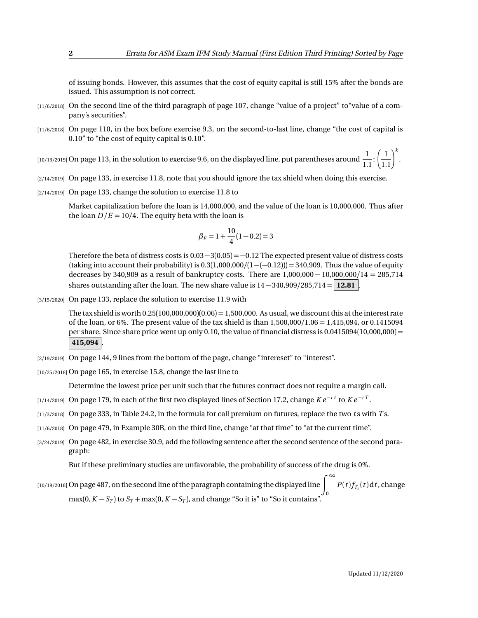of issuing bonds. However, this assumes that the cost of equity capital is still 15% after the bonds are issued. This assumption is not correct.

- [11/6/2018] On the second line of the third paragraph of page 107, change "value of a project" to "value of a company's securities".
- [11/6/2018] On page 110, in the box before exercise 9.3, on the second-to-last line, change "the cost of capital is 0.10" to "the cost of equity capital is 0.10".

[10/13/2019] On page 113, in the solution to exercise 9.6, on the displayed line, put parentheses around  $\frac{1}{1}$  $\overline{1.1}$  $\left(\frac{1}{1.1}\right)^k$ .

- [2/14/2019] On page 133, in exercise 11.8, note that you should ignore the tax shield when doing this exercise.
- [2/14/2019] On page 133, change the solution to exercise 11.8 to

Market capitalization before the loan is 14,000,000, and the value of the loan is 10,000,000. Thus after the loan  $D/E = 10/4$ . The equity beta with the loan is

$$
\beta_E = 1 + \frac{10}{4}(1 - 0.2) = 3
$$

Therefore the beta of distress costs is  $0.03-3(0.05) = -0.12$  The expected present value of distress costs (taking into account their probability) is 0.3(1,000,000*/*(1−(−0.12))) = 340,909. Thus the value of equity decreases by 340,909 as a result of bankruptcy costs. There are 1,000,000 − 10,000,000*/*14 = 285,714 shares outstanding after the loan. The new share value is  $14 - 340,909/285,714 = 12.81$ .

[3/15/2020] On page 133, replace the solution to exercise 11.9 with

The tax shield is worth  $0.25(100,000,000)(0.06) = 1,500,000$ . As usual, we discount this at the interest rate of the loan, or 6%. The present value of the tax shield is than 1,500,000*/*1.06 = 1,415,094, or 0.1415094 per share. Since share price went up only 0.10, the value of financial distress is  $0.0415094(10,000,000) =$ **415,094** .

[2/19/2019] On page 144, 9 lines from the bottom of the page, change "intereset" to "interest".

[10/25/2018] On page 165, in exercise 15.8, change the last line to

Determine the lowest price per unit such that the futures contract does not require a margin call.

- [1/14/2019] On page 179, in each of the first two displayed lines of Section 17.2, change *K e* <sup>−</sup>*r t* to *K e* <sup>−</sup>*r T* .
- [11/3/2018] On page 333, in Table 24.2, in the formula for call premium on futures, replace the two *t* s with *T* s.
- [11/6/2018] On page 479, in Example 30B, on the third line, change "at that time" to "at the current time".
- [3/24/2019] On page 482, in exercise 30.9, add the following sentence after the second sentence of the second paragraph:

But if these preliminary studies are unfavorable, the probability of success of the drug is 0%.

 $p_{[10/19/2018]}$  On page 487, on the second line of the paragraph containing the displayed line  $\int^\infty P(t)f_{T_x}(t)\mathrm{d}t$ , change 0 max(0,  $K - S_T$ ) to  $S_T$  + max(0,  $K - S_T$ ), and change "So it is" to "So it contains".